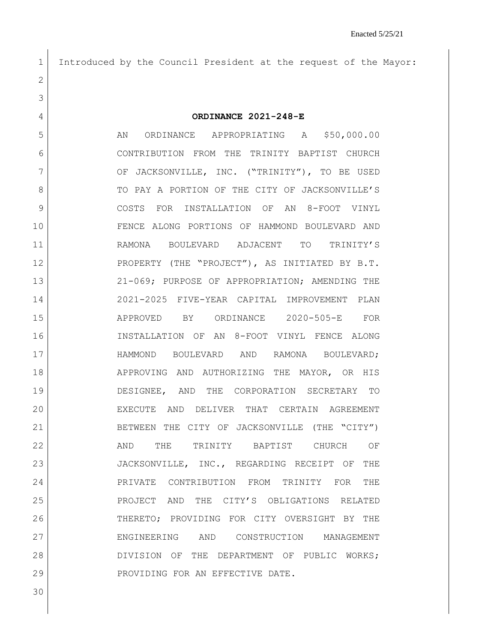Introduced by the Council President at the request of the Mayor:

**ORDINANCE 2021-248-E**

5 AN ORDINANCE APPROPRIATING A \$50,000.00 CONTRIBUTION FROM THE TRINITY BAPTIST CHURCH 7 OF JACKSONVILLE, INC. ("TRINITY"), TO BE USED 8 TO PAY A PORTION OF THE CITY OF JACKSONVILLE'S COSTS FOR INSTALLATION OF AN 8-FOOT VINYL FENCE ALONG PORTIONS OF HAMMOND BOULEVARD AND RAMONA BOULEVARD ADJACENT TO TRINITY'S PROPERTY (THE "PROJECT"), AS INITIATED BY B.T. 21-069; PURPOSE OF APPROPRIATION; AMENDING THE 2021-2025 FIVE-YEAR CAPITAL IMPROVEMENT PLAN APPROVED BY ORDINANCE 2020-505-E FOR INSTALLATION OF AN 8-FOOT VINYL FENCE ALONG HAMMOND BOULEVARD AND RAMONA BOULEVARD; 18 APPROVING AND AUTHORIZING THE MAYOR, OR HIS DESIGNEE, AND THE CORPORATION SECRETARY TO EXECUTE AND DELIVER THAT CERTAIN AGREEMENT BETWEEN THE CITY OF JACKSONVILLE (THE "CITY") 22 AND THE TRINITY BAPTIST CHURCH OF 23 JACKSONVILLE, INC., REGARDING RECEIPT OF THE PRIVATE CONTRIBUTION FROM TRINITY FOR THE PROJECT AND THE CITY'S OBLIGATIONS RELATED THERETO; PROVIDING FOR CITY OVERSIGHT BY THE ENGINEERING AND CONSTRUCTION MANAGEMENT 28 DIVISION OF THE DEPARTMENT OF PUBLIC WORKS; 29 PROVIDING FOR AN EFFECTIVE DATE.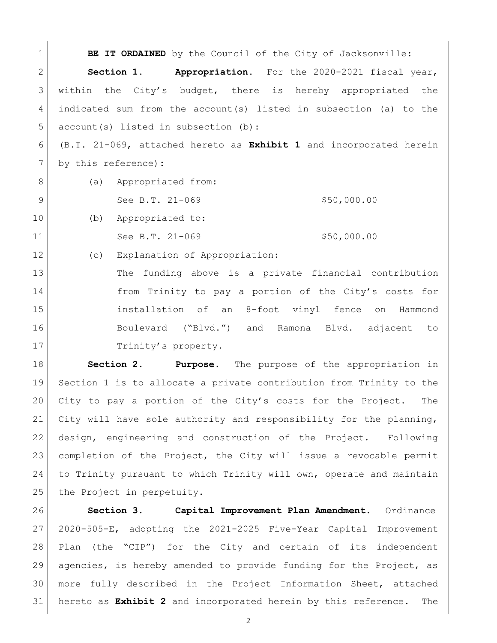**BE IT ORDAINED** by the Council of the City of Jacksonville: **Section 1. Appropriation.** For the 2020-2021 fiscal year, within the City's budget, there is hereby appropriated the indicated sum from the account(s) listed in subsection (a) to the 5 account(s) listed in subsection (b): (B.T. 21-069, attached hereto as **Exhibit 1** and incorporated herein by this reference)**:** 8 (a) Appropriated from: See B.T. 21-069 \$50,000.00 10 (b) Appropriated to: 11 See B.T. 21-069 \$50,000.00 12 (c) Explanation of Appropriation: 13 The funding above is a private financial contribution 14 from Trinity to pay a portion of the City's costs for installation of an 8-foot vinyl fence on Hammond Boulevard ("Blvd.") and Ramona Blvd. adjacent to 17 Trinity's property. **Section 2. Purpose**. The purpose of the appropriation in

 Section 1 is to allocate a private contribution from Trinity to the City to pay a portion of the City's costs for the Project. The City will have sole authority and responsibility for the planning, design, engineering and construction of the Project. Following completion of the Project, the City will issue a revocable permit to Trinity pursuant to which Trinity will own, operate and maintain 25 the Project in perpetuity.

 **Section 3. Capital Improvement Plan Amendment.** Ordinance 2020-505-E, adopting the 2021-2025 Five-Year Capital Improvement Plan (the "CIP") for the City and certain of its independent agencies, is hereby amended to provide funding for the Project, as more fully described in the Project Information Sheet, attached hereto as **Exhibit 2** and incorporated herein by this reference. The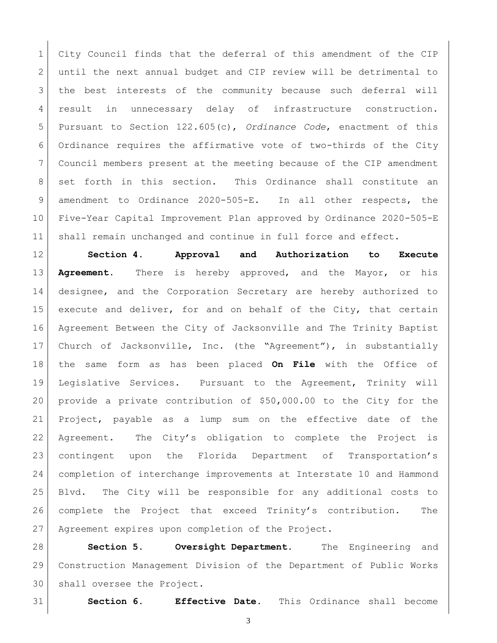City Council finds that the deferral of this amendment of the CIP until the next annual budget and CIP review will be detrimental to the best interests of the community because such deferral will result in unnecessary delay of infrastructure construction. Pursuant to Section 122.605(c), *Ordinance Code*, enactment of this Ordinance requires the affirmative vote of two-thirds of the City Council members present at the meeting because of the CIP amendment set forth in this section. This Ordinance shall constitute an 9 amendment to Ordinance 2020-505-E. In all other respects, the Five-Year Capital Improvement Plan approved by Ordinance 2020-505-E 11 | shall remain unchanged and continue in full force and effect.

 **Section 4. Approval and Authorization to Execute Agreement.** There is hereby approved, and the Mayor, or his designee, and the Corporation Secretary are hereby authorized to 15 execute and deliver, for and on behalf of the City, that certain Agreement Between the City of Jacksonville and The Trinity Baptist Church of Jacksonville, Inc. (the "Agreement"), in substantially the same form as has been placed **On File** with the Office of Legislative Services. Pursuant to the Agreement, Trinity will provide a private contribution of \$50,000.00 to the City for the Project, payable as a lump sum on the effective date of the Agreement. The City's obligation to complete the Project is contingent upon the Florida Department of Transportation's completion of interchange improvements at Interstate 10 and Hammond Blvd. The City will be responsible for any additional costs to complete the Project that exceed Trinity's contribution. The Agreement expires upon completion of the Project.

 **Section 5. Oversight Department.** The Engineering and Construction Management Division of the Department of Public Works shall oversee the Project.

**Section 6. Effective Date.** This Ordinance shall become